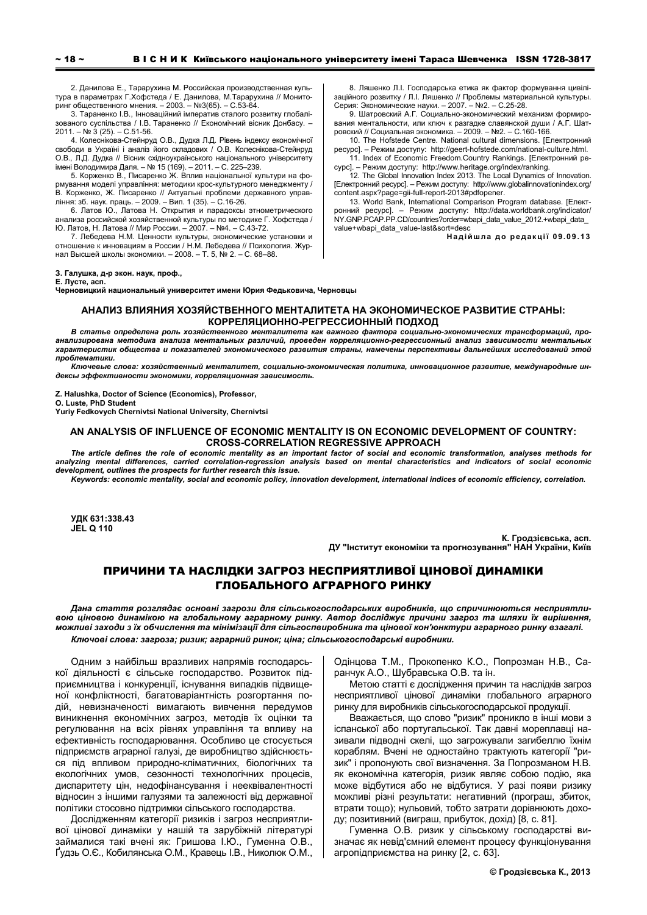2. Данилова Е., Тарарухина М. Российская производственная культура в параметрах Г.Хофстеда / Е. Данилова, М.Тарарухина // Мониторинг общественного мнения. - 2003. - №3(65). - С.53-64.

3. Тараненко І.В., Інноваційний імператив сталого розвитку глобалізованого суспільства / І.В. Тараненко // Економічний вісник Донбасу. - $2011. - Ne\,3(25) - C.51-56.$ 

4. Колеснікова-Стейнруд О.В., Дудка Л.Д. Рівень індексу економічної свободи в Україні і аналіз його складових / О.В. Колеснікова-Стейнруд О.В., Л.Д. Дудка // Вісник східноукраїнського національного університету імені Володимира Даля. – № 15 (169). – 2011. – С. 225–239.

5. Корженко В., Писаренко Ж. Вплив національної культури на формування моделі управління: методики крос-культурного менеджменту / В. Корженко, Ж. Писаренко // Актуальні проблеми державного управління: зб. наук. праць. – 2009. – Вип. 1 (35). – С.16-26.

6. Ʌɚɬɨɜ ɘ., Ʌɚɬɨɜɚ ɇ. Ɉɬɤɪɵɬɢɹ ɢ ɩɚɪɚɞɨɤɫɵ ɷɬɧɨɦɟɬɪɢɱɟɫɤɨɝɨ анализа российской хозяйственной культуры по методике Г. Хофстеда / Ю. Латов, Н. Латова // Мир России. – 2007. – №4. – С.43-72.

7. Лебедева Н.М. Ценности культуры, экономические установки и отношение к инновациям в России / Н.М. Лебедева // Психология. Журнал Высшей школы экономики – 2008. – Т. 5,  $N_2$  2. – С. 68–88.

 $3.$  Галушка, д-р экон. наук, проф.,

**Е.** Лусте, асп.

**ɑɟɪɧɨɜɢɰɤɢɣ ɧɚɰɢɨɧɚɥɶɧɵɣ ɭɧɢɜɟɪɫɢɬɟɬ ɢɦɟɧɢ ɘɪɢɹ Ɏɟɞɶɤɨɜɢɱɚ, ɑɟɪɧɨɜɰɵ**

**ȺɇȺɅɂɁ ȼɅɂəɇɂə ɏɈɁəɃɋɌȼȿɇɇɈȽɈ ɆȿɇɌȺɅɂɌȿɌȺ ɇȺ ɗɄɈɇɈɆɂɑȿɋɄɈȿ ɊȺɁȼɂɌɂȿ ɋɌɊȺɇɕ: ɄɈɊɊȿɅəɐɂɈɇɇɈ-ɊȿȽɊȿɋɋɂɈɇɇɕɃ ɉɈȾɏɈȾ**

В статье определена роль хозяйственного менталитета как важного фактора социально-экономических трансформаций, про*ɚɧɚɥɢɡɢɪɨɜɚɧɚ ɦɟɬɨɞɢɤɚ ɚɧɚɥɢɡɚ ɦɟɧɬɚɥɶɧɵɯ ɪɚɡɥɢɱɢɣ, ɩɪɨɜɟɞɟɧ ɤɨɪɪɟɥɹɰɢɨɧɧɨ-ɪɟɝɪɟɫɫɢɨɧɧɵɣ ɚɧɚɥɢɡ ɡɚɜɢɫɢɦɨɫɬɢ ɦɟɧɬɚɥɶɧɵɯ* характеристик общества и показателей экономического развития страны, намечены перспективы дальнейших исследований этой *проблематики.* 

Ключевые слова: хозяйственный менталитет, социально-экономическая политика, инновационное развитие, международные индексы эффективности экономики, корреляционная зависимость.

**Z. Halushka, Doctor of Science (Economics), Professor,** 

**O. Luste, PhD Student** 

**Yuriy Fedkovych Chernivtsi National University, Chernivtsi** 

### **AN ANALYSIS OF INFLUENCE OF ECONOMIC MENTALITY IS ON ECONOMIC DEVELOPMENT OF COUNTRY: CROSS-CORRELATION REGRESSIVE APPROACH**

*The article defines the role of economic mentality as an important factor of social and economic transformation, analyses methods for analyzing mental differences, carried correlation-regression analysis based on mental characteristics and indicators of social economic development, outlines the prospects for further research this issue.* 

*Keywords: economic mentality, social and economic policy, innovation development, international indices of economic efficiency, correlation.* 

**ɍȾɄ 631:338.43 JEL Q 110** 

> **Ʉ. Ƚɪɨɞɡɿɽɜɫɶɤɚ, ɚɫɩ. Ⱦɍ "ȱɧɫɬɢɬɭɬ ɟɤɨɧɨɦɿɤɢ ɬɚ ɩɪɨɝɧɨɡɭɜɚɧɧɹ" ɇȺɇ ɍɤɪɚʀɧɢ, Ʉɢʀɜ**

8. Ляшенко Л.І. Господарська етика як фактор формування цивілізаційного розвитку / Л.І. Ляшенко // Проблемы материальной культуры.

9. Шатровский А.Г. Социально-экономический механизм формирования ментальности, или ключ к разгадке славянской души / А.Г. Шатровский // Социальная экономика. - 2009. - №2. - С.160-166.

10. The Hofstede Centre. National cultural dimensions. [Електронний ресурс]. – Режим доступу: http://geert-hofstede.com/national-culture.html. .<br>11. Index of Economic Freedom.Country Rankings. [Електронний ре-

12. The Global Innovation Index 2013. The Local Dynamics of Innovation. [Електронний ресурс]. – Режим доступу: http://www.globalinnovationindex.org/

13. World Bank, International Comparison Program database. [Επεκτронний ресурс]. – Режим доступу: http://data.worldbank.org/indicator/ NY.GNP.PCAP.PP.CD/countries?order=wbapi\_data\_value\_2012.+wbapi\_data\_

Надійшла до редакції 09.09.13

Серия: Экономические науки. – 2007. – №2. – С.25-28.

сурс]. – Режим доступу: http://www.heritage.org/index/ranking.

content.aspx?page=gii-full-report-2013#pdfopener.

value+wbapi\_data\_value-last&sort=desc

## ПРИЧИНИ ТА НАСЛІДКИ ЗАГРОЗ НЕСПРИЯТЛИВОЇ ЦІНОВОЇ ДИНАМІКИ ГЛОБАЛЬНОГО АГРАРНОГО РИНКУ

Дана стаття розглядає основні загрози для сільськогосподарських виробників, що спричинюються несприятливою ціновою динамікою на глобальному аграрному ринку. Автор досліджує причини загроз та шляхи їх вирішення, можливі заходи з їх обчислення та мінімізації для сільгоспвиробника та цінової кон'юнктури аграрного ринку взагалі. Ключові слова: загроза; ризик; аграрний ринок; ціна; сільськогосподарські виробники.

Одним з найбільш вразливих напрямів господарської діяльності є сільське господарство. Розвиток підприємництва і конкуренції, існування випадків підвищеної конфліктності, багатоваріантність розгортання подій, невизначеності вимагають вивчення передумов виникнення економічних загроз, методів їх оцінки та регулювання на всіх рівнях управління та впливу на ефективність господарювання. Особливо це стосується підприємств аграрної галузі, де виробництво здійснюється під впливом природно-кліматичних, біологічних та екологічних умов, сезонності технологічних процесів, диспаритету цін, недофінансування і нееквівалентності відносин з іншими галузями та залежності від державної політики стосовно підтримки сільського господарства.

Дослідженням категорії ризиків і загроз несприятливої цінової динаміки у нашій та зарубіжній літературі займалися такі вчені як: Гришова І.Ю., Гуменна О.В., Гудзь О.Є., Кобилянська О.М., Кравець І.В., Николюк О.М.,

Одінцова Т.М., Прокопенко К.О., Попрозман Н.В., Саранчук А.О., Шубравська О.В. та ін.

Метою статті є дослідження причин та наслідків загроз несприятливої цінової динаміки глобального аграрного ринку для виробників сільськогосподарської продукції.

Вважається, що слово "ризик" проникло в інші мови з іспанської або португальської. Так давні мореплавці називали підводні скелі, що загрожували загибеллю їхнім кораблям. Вчені не одностайно трактують категорії "ризик" і пропонують свої визначення. За Попрозманом Н.В. як економічна категорія, ризик являє собою подію, яка може відбутися або не відбутися. У разі появи ризику можливі різні результати: негативний (програш, збиток, втрати тощо); нульовий, тобто затрати дорівнюють доходу; позитивний (виграш, прибуток, дохід) [8, с. 81].

Гуменна О.В. ризик у сільському господарстві визначає як невід'ємний елемент процесу функціонування агропідприємства на ринку [2, с. 63].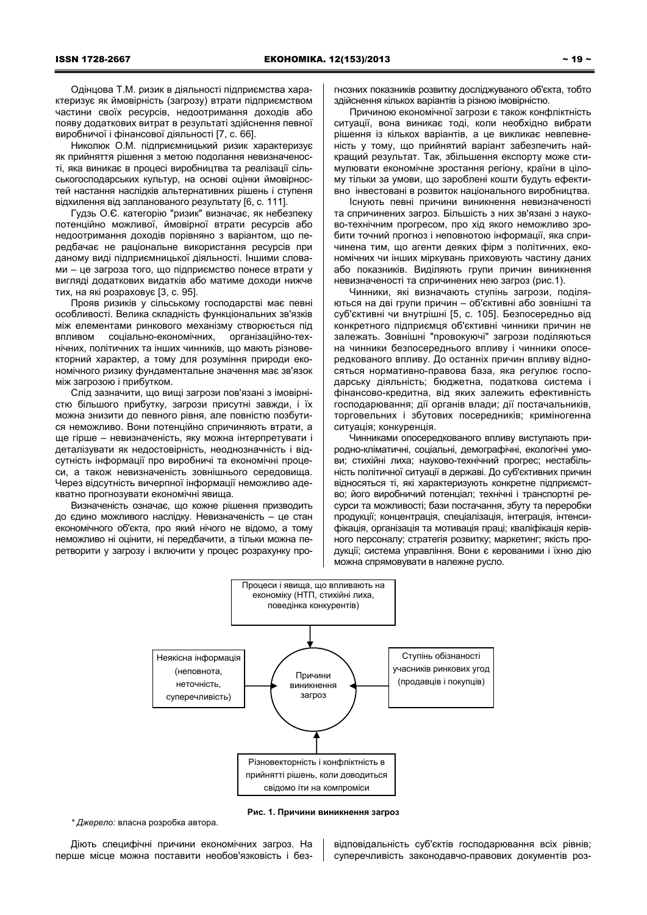Одінцова Т.М. ризик в діяльності підприємства характеризує як ймовірність (загрозу) втрати підприємством частини своїх ресурсів, недоотримання доходів або появу додаткових витрат в результаті здійснення певної виробничої і фінансової діяльності [7, с. 66].

Николюк О.М. підприємницький ризик характеризує як прийняття рішення з метою подолання невизначеності, яка виникає в процесі виробництва та реалізації сільськогосподарських культур, на основі оцінки ймовірностей настання наслідків альтернативних рішень і ступеня відхилення від запланованого результату [6, с. 111].

Гудзь О.Є. категорію "ризик" визначає, як небезпеку потенційно можливої, ймовірної втрати ресурсів або недоотримання доходів порівняно з варіантом. що передбачає не раціональне використання ресурсів при даному виді підприємницької діяльності. Іншими словами – це загроза того, що підприємство понесе втрати у вигляді додаткових видатків або матиме доходи нижче тих, на які розраховує [3, с. 95].

Прояв ризиків у сільському господарстві має певні особливості. Велика складність функціональних зв'язків між елементами ринкового механізму створюється під впливом соціально-економічних, організаційно-технічних, політичних та інших чинників, що мають різновекторний характер, а тому для розуміння природи економічного ризику фундаментальне значення має зв'язок між загрозою і прибутком.

Слід зазначити, що вищі загрози пов'язані з імовірністю більшого прибутку, загрози присутні завжди, і їх можна знизити до певного рівня, але повністю позбутися неможливо. Вони потенційно спричиняють втрати, а ще гірше – невизначеність, яку можна інтерпретувати і деталізувати як недостовірність, неоднозначність і відсутність інформації про виробничі та економічні процеси, а також невизначеність зовнішнього середовища. Через відсутність вичерпної інформації неможливо адекватно прогнозувати економічні явища.

Визначеність означає, що кожне рішення призводить до єдино можливого наслідку. Невизначеність – це стан eкономічного об'єкта, про який нічого не відомо, а тому неможливо ні оцінити, ні передбачити, а тільки можна перетворити у загрозу і включити у процес розрахунку прогнозних показників розвитку досліджуваного об'єкта, тобто здійснення кількох варіантів із різною імовірністю.

Причиною економічної загрози є також конфліктність ситуації, вона виникає тоді, коли необхідно вибрати рішення із кількох варіантів, а це викликає невпевненість у тому, що прийнятий варіант забезпечить найкращий результат. Так, збільшення експорту може стимулювати економічне зростання регіону, країни в цілому тільки за умови, що зароблені кошти будуть ефективно інвестовані в розвиток національного виробництва.

Існують певні причини виникнення невизначеності та спричинених загроз. Більшість з них зв'язані з науково-технічним прогресом, про хід якого неможливо зробити точний прогноз і неповнотою інформації, яка спричинена тим, що агенти деяких фірм з політичних, економічних чи інших міркувань приховують частину даних або показників. Виділяють групи причин виникнення невизначеності та спричинених нею загроз (рис.1).

Чинники, які визначають ступінь загрози, поділяються на дві групи причин – об'єктивні або зовнішні та суб'єктивні чи внутрішні [5, с. 105]. Безпосередньо від конкретного підприємця об'єктивні чинники причин не залежать. Зовнішні "провокуючі" загрози поділяються на чинники безпосереднього впливу і чинники опосередкованого впливу. До останніх причин впливу відносяться нормативно-правова база, яка регулює господарську діяльність; бюджетна, податкова система і фінансово-кредитна, від яких залежить ефективність господарювання; дії органів влади; дії постачальників, торговельних і збутових посередників; криміногенна ситуація; конкуренція.

Чинниками опосередкованого впливу виступають природно-кліматичні, соціальні, демографічні, екологічні умови; стихійні лиха; науково-технічний прогрес; нестабільність політичної ситуації в державі. До суб'єктивних причин відносяться ті, які характеризують конкретне підприємство; його виробничий потенціал; технічні і транспортні ресурси та можливості; бази постачання, збуту та переробки продукції; концентрація, спеціалізація, інтеграція, інтенсифікація, організація та мотивація праці: кваліфікація керівного персоналу; стратегія розвитку; маркетинг; якість продукції; система управління. Вони є керованими і їхню дію можна спрямовувати в належне русло.



Рис. 1. Причини виникнення загроз

 $*$  Джерело: власна розробка автора.

Діють специфічні причини економічних загроз. На перше місце можна поставити необов'язковість і безвідповідальність суб'єктів господарювання всіх рівнів; суперечливість законодавчо-правових документів роз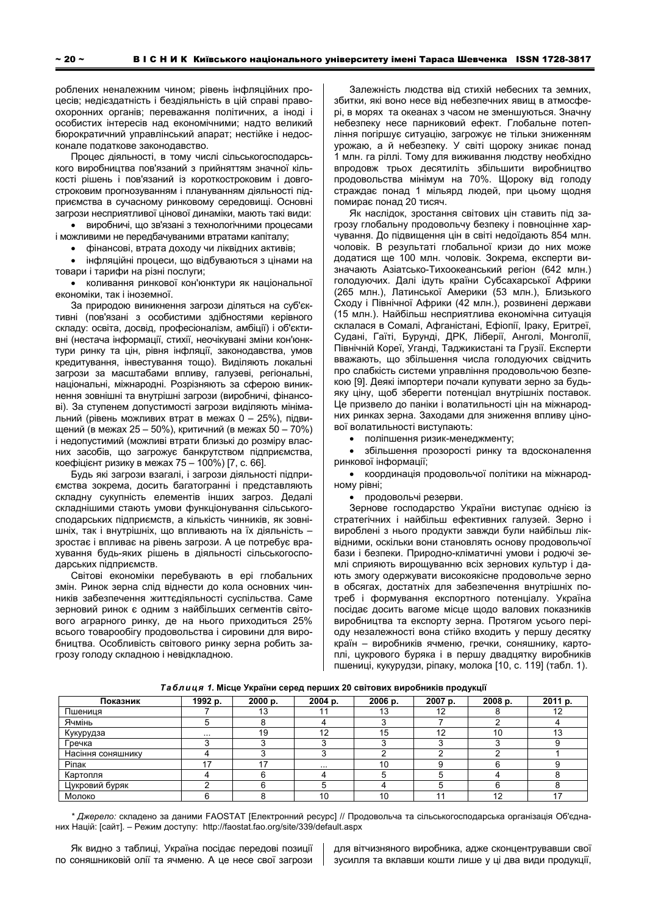роблених неналежним чином; рівень інфляційних процесів; недієздатність і бездіяльність в цій справі правоохоронних органів; переважання політичних, а іноді і особистих інтересів над економічними; надто великий бюрократичний управлінський апарат; нестійке і недосконале податкове законодавство.

Процес діяльності, в тому числі сільськогосподарського виробництва пов'язаний з прийняттям значної кількості рішень і пов'язаний із короткостроковим і довгостроковим прогнозуванням і плануванням діяльності підприємства в сучасному ринковому середовищі. Основні загрози несприятливої цінової динаміки, мають такі види:

• виробничі, що зв'язані з технологічними процесами i можливими не передбачуваними втратами капіталу;

фінансові, втрата доходу чи ліквідних активів;

• інфляційні процеси, що відбуваються з цінами на товари і тарифи на різні послуги;

• коливання ринкової кон'юнктури як національної економіки, так і іноземної.

За природою виникнення загрози діляться на суб'єктивні (пов'язані з особистими здібностями керівного складу: освіта, досвід, професіоналізм, амбіції) і об'єктивні (нестача інформації, стихії, неочікувані зміни кон'юнктури ринку та цін, рівня інфляції, законодавства, умов кредитування, інвестування тощо). Виділяють локальні загрози за масштабами впливу, галузеві, регіональні, національні, міжнародні. Розрізняють за сферою виникнення зовнішні та внутрішні загрози (виробничі, фінансові). За ступенем допустимості загрози виділяють мінімальний (рівень можливих втрат в межах 0 – 25%), підвищений (в межах 25 – 50%), критичний (в межах 50 – 70%) і недопустимий (можливі втрати близькі до розміру власних засобів, що загрожує банкрутством підприємства, коефіцієнт ризику в межах 75 – 100%) [7, с. 66].

Будь які загрози взагалі, і загрози діяльності підприємства зокрема, досить багатогранні і представляють складну сукупність елементів інших загроз. Дедалі складнішими стають умови функціонування сільськогосподарських підприємств, а кількість чинників, як зовнішніх, так і внутрішніх, що впливають на їх діяльність – зростає і впливає на рівень загрози. А це потребує врахування будь-яких рішень в діяльності сільськогосподарських підприємств.

Світові економіки перебувають в ері глобальних змін. Ринок зерна слід віднести до кола основних чинників забезпечення життєдіяльності суспільства. Саме зерновий ринок є одним з найбільших сегментів світового аграрного ринку, де на нього приходиться 25% всього товарообігу продовольства і сировини для виробництва. Особливість світового ринку зерна робить загрозу голоду складною і невідкладною.

Залежність людства від стихій небесних та земних, збитки, які воно несе від небезпечних явищ в атмосфері, в морях та океанах з часом не зменшуються. Значну небезпеку несе парниковий ефект. Глобальне потепління погіршує ситуацію, загрожує не тільки зниженням урожаю, а й небезпеку. У світі щороку зникає понад 1 млн. га ріллі. Тому для виживання людству необхідно впродовж трьох десятиліть збільшити виробництво продовольства мінімум на 70%. Щороку від голоду страждає понад 1 мільярд людей, при цьому щодня помирає понад 20 тисяч.

Як наслідок, зростання світових цін ставить під загрозу глобальну продовольчу безпеку і повноцінне харчування. До підвишення цін в світі недоїдають 854 млн. чоловік. В результаті глобальної кризи до них може додатися ще 100 млн. чоловік. Зокрема, експерти визначають Азіатсько-Тихоокеанський регіон (642 млн.) голодуючих. Далі ідуть країни Субсахарської Африки (265 млн.), Латинської Америки (53 млн.), Близького Сходу і Північної Африки (42 млн.), розвинені держави (15 млн.). Найбільш несприятлива економічна ситуація склалася в Сомалі, Афганістані, Ефіопії, Іраку, Еритреї, Судані, Гаїті, Бурунді, ДРК, Ліберії, Анголі, Монголії, Північній Кореї, Уганді, Таджикистані та Грузії. Експерти вважають, що збільшення числа голодуючих свідчить про слабкість системи управління продовольчою безпекою [9]. Деякі імпортери почали купувати зерно за будьяку ціну, щоб зберегти потенціал внутрішніх поставок. Це призвело до паніки і волатильності цін на міжнародних ринках зерна. Заходами для зниження впливу цінової волатильності виступають:

• поліпшення ризик-менеджменту;

• збільшення прозорості ринку та вдосконалення ринкової інформації;

• координація продовольчої політики на міжнародному рівні;

• продовольчі резерви.

Зернове господарство України виступає однією із стратегічних і найбільш ефективних галузей. Зерно і вироблені з нього продукти завжди були найбільш ліквідними, оскільки вони становлять основу продовольчої бази і безпеки. Природно-кліматичні умови і родючі землі сприяють вирощуванню всіх зернових культур і дають змогу одержувати високоякісне продовольче зерно в обсягах, достатніх для забезпечення внутрішніх потреб і формування експортного потенціалу. Україна посідає досить вагоме місце щодо валових показників виробництва та експорту зерна. Протягом усього періоду незалежності вона стійко входить у першу десятку країн – виробників ячменю, гречки, соняшнику, картоплі, цукрового буряка і в першу двадцятку виробників пшениці, кукурудзи, ріпаку, молока [10, с. 119] (табл. 1).

| Показник          | 1992 p.  | 2000 p. | 2004 p.  | 2006 p. | 2007 p. | 2008 p. | 2011 p.           |
|-------------------|----------|---------|----------|---------|---------|---------|-------------------|
| Пшениця           |          | 13      |          | 13      | 12      |         | $12 \overline{ }$ |
| Ячмінь            |          |         |          |         |         | ີ       |                   |
| Кукурудза         | $\cdots$ | 19      | 12       | 15      | 12      | 10      | 13                |
| Гречка            |          |         |          |         | ◠       | ⌒       |                   |
| Насіння соняшнику |          |         |          |         |         | ⌒       |                   |
| Ріпак             | 17       | 17      | $\cdots$ | 10      | Й       | 6       |                   |
| Картопля          |          |         |          |         |         |         |                   |
| Цукровий буряк    |          |         |          |         |         | 6       |                   |
| Молоко            |          |         | 10       | 10      | 44      | 12      | 17                |

Tаблиця 1. Місце України серед перших 20 світових виробників продукції

<sup>\*</sup> Джерело: складено за даними FAOSTAT [Електронний ресурс] // Продовольча та сільськогосподарська організація Об'єднаних Націй: [сайт]. – Режим доступу: http://faostat.fao.org/site/339/default.aspx

Як видно з таблиці, Україна посідає передові позиції по соняшниковій олії та ячменю. А це несе свої загрози

для вітчизняного виробника, адже сконцентрувавши свої зусилля та вклавши кошти лише у ці два види продукції,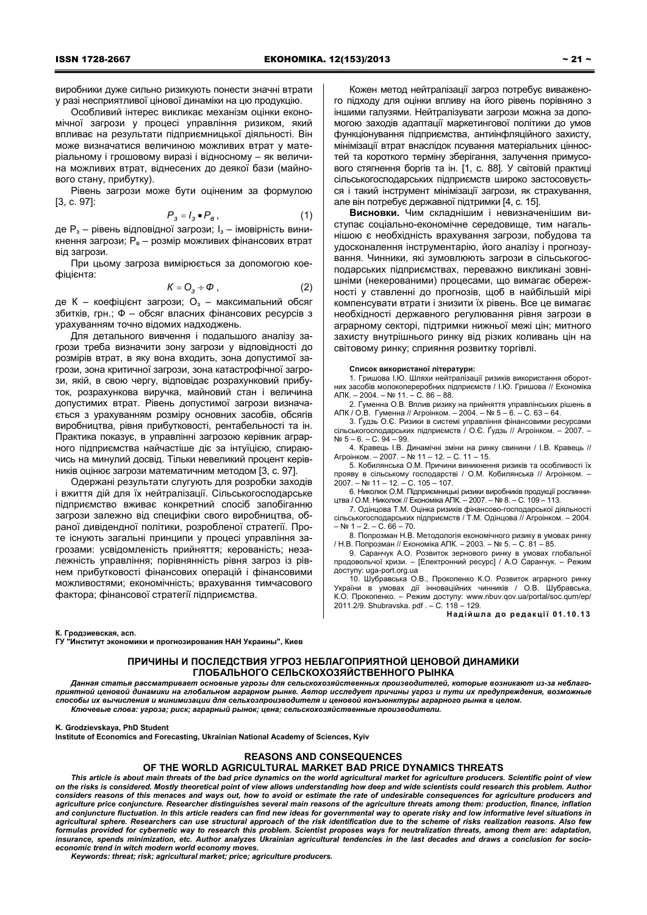виробники дуже сильно ризикують понести значні втрати у разі несприятливої цінової динаміки на цю продукцію.

Особливий інтерес викликає механізм оцінки економічної загрози у процесі управління ризиком, який впливає на результати підприємницької діяльності. Він може визначатися величиною можливих втрат у матеріальному і грошовому виразі і відносному – як величина можливих втрат, віднесених до деякої бази (майнового стану, прибутку).

Рівень загрози може бути оціненим за формулою [3, c. 97]:

$$
P_{3} = I_{3} \bullet P_{6} \,, \tag{1}
$$

де Р<sub>з</sub> – рівень відповідної загрози; І<sub>з</sub> – імовірність виникнення загрози;  $P_B -$  розмір можливих фінансових втрат від загрози.

При цьому загроза вимірюється за допомогою коефіцієнта:

$$
K = O_3 \div \Phi , \qquad (2)
$$

де К – коефіцієнт загрози; О<sub>з</sub> – максимальний обсяг збитків, грн.; Ф – обсяг власних фінансових ресурсів з урахуванням точно відомих надходжень.

Для детального вивчення і подальшого аналізу загрози треба визначити зону загрози у відповідності до розмірів втрат, в яку вона входить, зона допустимої загрози, зона критичної загрози, зона катастрофічної загрози, якій, в свою чергу, відповідає розрахунковий прибуток, розрахункова виручка, майновий стан і величина допустимих втрат. Рівень допустимої загрози визначається з урахуванням розміру основних засобів, обсягів виробництва, рівня прибутковості, рентабельності та ін. Практика показує, в управлінні загрозою керівник аграрного підприємства найчастіше діє за інтуїцією, спираючись на минулий досвід. Тільки невеликий процент керівників оцінює загрози математичним методом [3, с. 97].

Одержані результати слугують для розробки заходів і вжиття дій для їх нейтралізації. Сільськогосподарське підприємство вживає конкретний спосіб запобіганню загрози залежно від специфіки свого виробництва, обраної дивідендної політики, розробленої стратегії. Проте існують загальні принципи у процесі управління загрозами: усвідомленість прийняття; керованість; незалежність управління; порівнянність рівня загроз із рівнем прибутковості фінансових операцій і фінансовими можливостями; економічність; врахування тимчасового фактора; фінансової стратегії підприємства.

Кожен метод нейтралізації загроз потребує виваженого підходу для оцінки впливу на його рівень порівняно з іншими галузями. Нейтралізувати загрози можна за допомогою заходів адаптації маркетингової політики до умов функціонування підприємства, антиінфляційного захисту, мінімізації втрат внаслідок псування матеріальних цінностей та короткого терміну зберігання, залучення примусового стягнення боргів та ін. [1, с. 88]. У світовій практиці сільськогосподарських підприємств широко застосовується і такий інструмент мінімізації загрози, як страхування, але він потребує державної підтримки [4, с. 15].

Висновки. Чим складнішим і невизначенішим виступає соціально-економічне середовище, тим нагальнішою є необхідність врахування загрози, побудова та удосконалення інструментарію, його аналізу і прогнозування. Чинники, які зумовлюють загрози в сільськогосподарських підприємствах, переважно викликані зовнішніми (некерованими) процесами, що вимагає обережності у ставленні до прогнозів, щоб в найбільшій мірі компенсувати втрати і знизити їх рівень. Все це вимагає необхідності державного регулювання рівня загрози в аграрному секторі, підтримки нижньої межі цін; митного захисту внутрішнього ринку від різких коливань цін на світовому ринку; сприяння розвитку торгівлі.

#### Список використаної літератури:

1. Гришова І.Ю. Шляхи нейтралізації ризиків використання оборотних засобів молокопереробних підприємств / І.Ю. Гришова // Економіка AΠK. – 2004. – № 11. – С. 86 – 88.

2. Гуменна О.В. Вплив ризику на прийняття управлінських рішень в АПК / О.В. Гуменна // Агроінком. – 2004. – № 5 – 6. – С. 63 – 64.

У С. : Улисния и тереннение<br>3. Ґудзь О.Є. Ризики в системі управління фінансовими ресурсами сільськогосподарських підприємств / О.Є. Ґудзь // Агроінком. – 2007. –  $Ne 5 - 6 - C.94 - 99$ 

4. Кравець І.В. Динамічні зміни на ринку свинини / І.В. Кравець // Агроінком. – 2007. – № 11 – 12. – С. 11 – 15.

5. Кобилянська О.М. Причини виникнення ризиків та особливості їх прояву в сільському господарстві / О.М. Кобилянська // Агроінком. -2007. – ʋ 11 – 12. – ɋ. 105 – 107.

.<br>6. Николюк О.М. Підприємницькі ризики виробників продукції рослинництва / О.М. Николюк // Економіка АПК. – 2007. – № 8. – С. 109 – 113.

7. Одінцова Т.М. Оцінка ризиків фінансово-господарської діяльності сільськогосподарських підприємств / Т.М. Одінцова // Агроінком. – 2004.  $-$  Nº 1 – 2. – C. 66 – 70.

8. Попрозман Н.В. Методологія економічного ризику в умовах ринку / Н.В. Попрозман // Економіка АПК. - 2003. - № 5. - С. 81 - 85.

9. Саранчук А.О. Розвиток зернового ринку в умовах глобальної продовольчої кризи. – [Електронний ресурс] / А.О Саранчук. – Режим AOCTYNY: uga-port.org.ua

10. Шубравська О.В., Прокопенко К.О. Розвиток аграрного ринку України в умовах дії інноваційних чинників / О.В. Шубравська, К.О. Прокопенко. – Режим доступу: www.nbuv.qov.ua/portal/soc.qum/ep/ 2011.2/9. Shubravska. pdf. - C. 118 - 129.

Надійшла до редакції 01.10.13

 $K.$  Гродзиевская, асп.

ГУ "Институт экономики и прогнозирования НАН Украины", Киев

## **ɉɊɂɑɂɇɕ ɂ ɉɈɋɅȿȾɋɌȼɂə ɍȽɊɈɁ ɇȿȻɅȺȽɈɉɊɂəɌɇɈɃ ɐȿɇɈȼɈɃ ȾɂɇȺɆɂɄɂ**  ГЛОБАЛЬНОГО СЕЛЬСКОХОЗЯЙСТВЕННОГО РЫНКА

Данная статья рассматривает основные угрозы для сельскохозяйственных производителей, которые возникают из-за неблагоприятной ценовой динамики на глобальном аграрном рынке. Автор исследует причины угроз и пути их предупреждения, возможные *ɫɩɨɫɨɛɵ ɢɯ ɜɵɱɢɫɥɟɧɢɹ ɢ ɦɢɧɢɦɢɡɚɰɢɢ ɞɥɹ ɫɟɥɶɯɨɡɩɪɨɢɡɜɨɞɢɬɟɥɹ ɢ ɰɟɧɨɜɨɣ ɤɨɧɴɸɧɤɬɭɪɵ ɚɝɪɚɪɧɨɝɨ ɪɵɧɤɚ ɜ ɰɟɥɨɦ.*  Ключевые слова: угроза; риск; аграрный рынок; цена; сельскохозяйственные производители.

**K. Grodzievskaya, PhD Student** 

**Institute of Economics and Forecasting, Ukrainian National Academy of Sciences, Kyiv** 

### **REASONS AND CONSEQUENCES**

### **OF THE WORLD AGRICULTURAL MARKET BAD PRICE DYNAMICS THREATS**

*This article is about main threats of the bad price dynamics on the world agricultural market for agriculture producers. Scientific point of view on the risks is considered. Mostly theoretical point of view allows understanding how deep and wide scientists could research this problem. Author considers reasons of this menaces and ways out, how to avoid or estimate the rate of undesirable consequences for agriculture producers and*  agriculture price conjuncture. Researcher distinguishes several main reasons of the agriculture threats among them: production, finance, inflation *and conjuncture fluctuation. In this article readers can find new ideas for governmental way to operate risky and low informative level situations in agricultural sphere. Researchers can use structural approach of the risk identification due to the scheme of risks realization reasons. Also few formulas provided for cybernetic way to research this problem. Scientist proposes ways for neutralization threats, among them are: adaptation, insurance, spends minimization, etc. Author analyzes Ukrainian agricultural tendencies in the last decades and draws a conclusion for socioeconomic trend in witch modern world economy moves.* 

*Keywords: threat; risk; agricultural market; price; agriculture producers.*